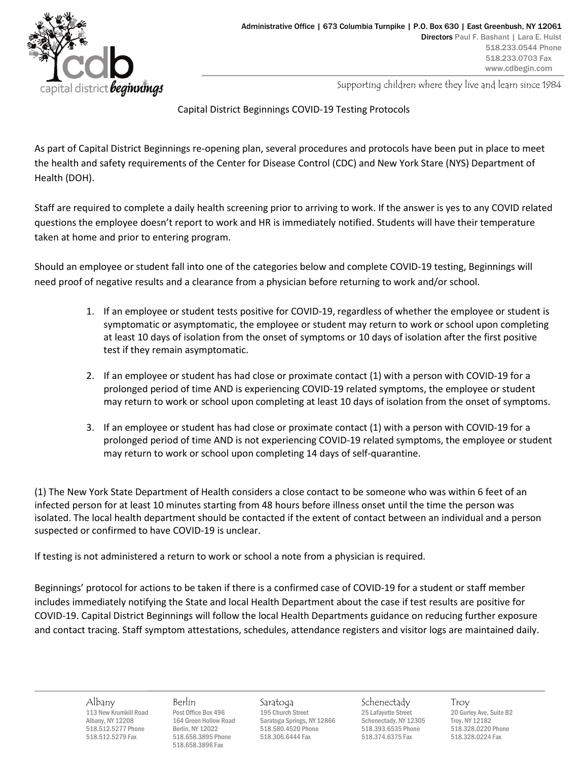

Supporting children where they live and learn since 1984

## Capital District Beginnings COVID-19 Testing Protocols

As part of Capital District Beginnings re-opening plan, several procedures and protocols have been put in place to meet the health and safety requirements of the Center for Disease Control (CDC) and New York Stare (NYS) Department of Health (DOH).

Staff are required to complete a daily health screening prior to arriving to work. If the answer is yes to any COVID related questions the employee doesn't report to work and HR is immediately notified. Students will have their temperature taken at home and prior to entering program.

Should an employee or student fall into one of the categories below and complete COVID-19 testing, Beginnings will need proof of negative results and a clearance from a physician before returning to work and/or school.

- 1. If an employee or student tests positive for COVID-19, regardless of whether the employee or student is symptomatic or asymptomatic, the employee or student may return to work or school upon completing at least 10 days of isolation from the onset of symptoms or 10 days of isolation after the first positive test if they remain asymptomatic.
- 2. If an employee or student has had close or proximate contact (1) with a person with COVID-19 for a prolonged period of time AND is experiencing COVID-19 related symptoms, the employee or student may return to work or school upon completing at least 10 days of isolation from the onset of symptoms.
- 3. If an employee or student has had close or proximate contact (1) with a person with COVID-19 for a prolonged period of time AND is not experiencing COVID-19 related symptoms, the employee or student may return to work or school upon completing 14 days of self-quarantine.

(1) The New York State Department of Health considers a close contact to be someone who was within 6 feet of an infected person for at least 10 minutes starting from 48 hours before illness onset until the time the person was isolated. The local health department should be contacted if the extent of contact between an individual and a person suspected or confirmed to have COVID-19 is unclear.

If testing is not administered a return to work or school a note from a physician is required.

Beginnings' protocol for actions to be taken if there is a confirmed case of COVID-19 for a student or staff member includes immediately notifying the State and local Health Department about the case if test results are positive for COVID-19. Capital District Beginnings will follow the local Health Departments guidance on reducing further exposure and contact tracing. Staff symptom attestations, schedules, attendance registers and visitor logs are maintained daily.

518.658.3896 Fax

Albany Berlin Saratoga Schenectady Troy 113 New Krumkill Road Post Office Box 496 195 Church Street 25 Lafayette Street 20 Gurley Ave, Suite Are 20 Gurley Ave, Suite Bare 20 Gurley Ave, Suite Bare 20 Gurley Ave, Suite Bare 20 Gurley Ave, Suite Bare 20 Gurley Ave Albany, NY 12208 164 Green Hollow Road Saratoga Springs, NY 12866 Schenectady, NY 12305 Troy, NY 12182<br>518.512.5277 Phone Berlin, NY 12022 518.580.4520 Phone 518.393.6535 Phone 518.328.0220 Phone 518.512.5277 Phone Berlin, NY 12022 518.580.4520 Phone 518.393.6535 Phone 518.328.0220 Phone 518.512.5279 Fax 518.658.3895 Phone 518.306.6444 Fax 518.374.6375 Fax 518.328.0224 Fax